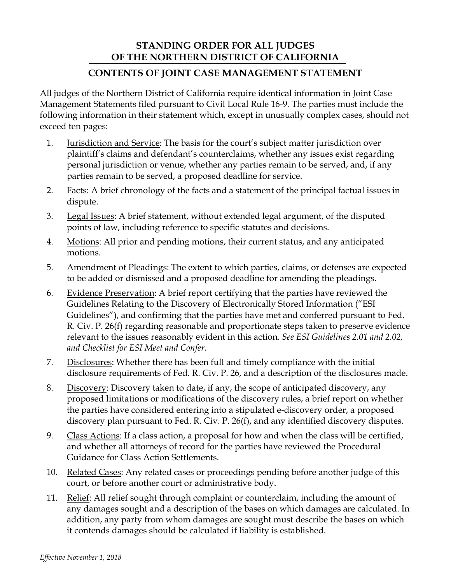## **STANDING ORDER FOR ALL JUDGES OF THE NORTHERN DISTRICT OF CALIFORNIA**

## **CONTENTS OF JOINT CASE MANAGEMENT STATEMENT**

All judges of the Northern District of California require identical information in Joint Case Management Statements filed pursuant to Civil Local Rule 16-9. The parties must include the following information in their statement which, except in unusually complex cases, should not exceed ten pages:

- 1. Jurisdiction and Service: The basis for the court's subject matter jurisdiction over plaintiff's claims and defendant's counterclaims, whether any issues exist regarding personal jurisdiction or venue, whether any parties remain to be served, and, if any parties remain to be served, a proposed deadline for service.
- 2. Facts: A brief chronology of the facts and a statement of the principal factual issues in dispute.
- 3. Legal Issues: A brief statement, without extended legal argument, of the disputed points of law, including reference to specific statutes and decisions.
- 4. Motions: All prior and pending motions, their current status, and any anticipated motions.
- 5. Amendment of Pleadings: The extent to which parties, claims, or defenses are expected to be added or dismissed and a proposed deadline for amending the pleadings.
- 6. Evidence Preservation: A brief report certifying that the parties have reviewed the Guidelines Relating to the Discovery of Electronically Stored Information ("ESI Guidelines"), and confirming that the parties have met and conferred pursuant to Fed. R. Civ. P. 26(f) regarding reasonable and proportionate steps taken to preserve evidence relevant to the issues reasonably evident in this action. *See ESI Guidelines 2.01 and 2.02, and Checklist for ESI Meet and Confer.*
- 7. Disclosures: Whether there has been full and timely compliance with the initial disclosure requirements of Fed. R. Civ. P. 26, and a description of the disclosures made.
- 8. Discovery: Discovery taken to date, if any, the scope of anticipated discovery, any proposed limitations or modifications of the discovery rules, a brief report on whether the parties have considered entering into a stipulated e-discovery order, a proposed discovery plan pursuant to Fed. R. Civ. P. 26(f), and any identified discovery disputes.
- 9. Class Actions: If a class action, a proposal for how and when the class will be certified, and whether all attorneys of record for the parties have reviewed the Procedural Guidance for Class Action Settlements.
- 10. Related Cases: Any related cases or proceedings pending before another judge of this court, or before another court or administrative body.
- 11. Relief: All relief sought through complaint or counterclaim, including the amount of any damages sought and a description of the bases on which damages are calculated. In addition, any party from whom damages are sought must describe the bases on which it contends damages should be calculated if liability is established.